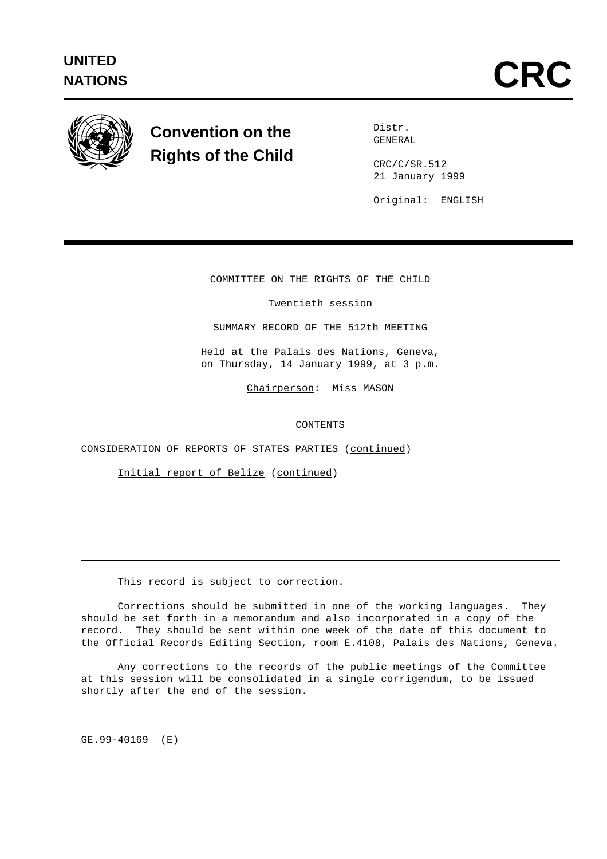

## **Convention on the Rights of the Child**

Distr. GENERAL

CRC/C/SR.512 21 January 1999

Original: ENGLISH

COMMITTEE ON THE RIGHTS OF THE CHILD

Twentieth session

SUMMARY RECORD OF THE 512th MEETING

Held at the Palais des Nations, Geneva, on Thursday, 14 January 1999, at 3 p.m.

Chairperson: Miss MASON

**CONTENTS** 

CONSIDERATION OF REPORTS OF STATES PARTIES (continued)

Initial report of Belize (continued)

This record is subject to correction.

Corrections should be submitted in one of the working languages. They should be set forth in a memorandum and also incorporated in a copy of the record. They should be sent within one week of the date of this document to the Official Records Editing Section, room E.4108, Palais des Nations, Geneva.

Any corrections to the records of the public meetings of the Committee at this session will be consolidated in a single corrigendum, to be issued shortly after the end of the session.

GE.99-40169 (E)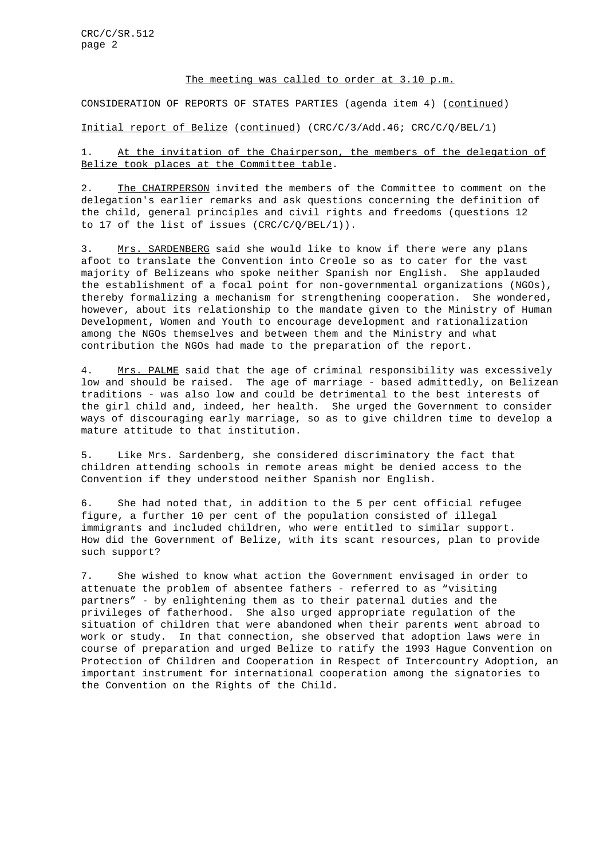## The meeting was called to order at 3.10 p.m.

CONSIDERATION OF REPORTS OF STATES PARTIES (agenda item 4) (continued)

Initial report of Belize (continued) (CRC/C/3/Add.46; CRC/C/Q/BEL/1)

1. At the invitation of the Chairperson, the members of the delegation of Belize took places at the Committee table.

2. The CHAIRPERSON invited the members of the Committee to comment on the delegation's earlier remarks and ask questions concerning the definition of the child, general principles and civil rights and freedoms (questions 12 to 17 of the list of issues  $(CRC/C/Q/BEL/1)$ ).

3. Mrs. SARDENBERG said she would like to know if there were any plans afoot to translate the Convention into Creole so as to cater for the vast majority of Belizeans who spoke neither Spanish nor English. She applauded the establishment of a focal point for non-governmental organizations (NGOs), thereby formalizing a mechanism for strengthening cooperation. She wondered, however, about its relationship to the mandate given to the Ministry of Human Development, Women and Youth to encourage development and rationalization among the NGOs themselves and between them and the Ministry and what contribution the NGOs had made to the preparation of the report.

4. Mrs. PALME said that the age of criminal responsibility was excessively low and should be raised. The age of marriage - based admittedly, on Belizean traditions - was also low and could be detrimental to the best interests of the girl child and, indeed, her health. She urged the Government to consider ways of discouraging early marriage, so as to give children time to develop a mature attitude to that institution.

5. Like Mrs. Sardenberg, she considered discriminatory the fact that children attending schools in remote areas might be denied access to the Convention if they understood neither Spanish nor English.

6. She had noted that, in addition to the 5 per cent official refugee figure, a further 10 per cent of the population consisted of illegal immigrants and included children, who were entitled to similar support. How did the Government of Belize, with its scant resources, plan to provide such support?

7. She wished to know what action the Government envisaged in order to attenuate the problem of absentee fathers - referred to as "visiting partners" - by enlightening them as to their paternal duties and the privileges of fatherhood. She also urged appropriate regulation of the situation of children that were abandoned when their parents went abroad to work or study. In that connection, she observed that adoption laws were in course of preparation and urged Belize to ratify the 1993 Hague Convention on Protection of Children and Cooperation in Respect of Intercountry Adoption, an important instrument for international cooperation among the signatories to the Convention on the Rights of the Child.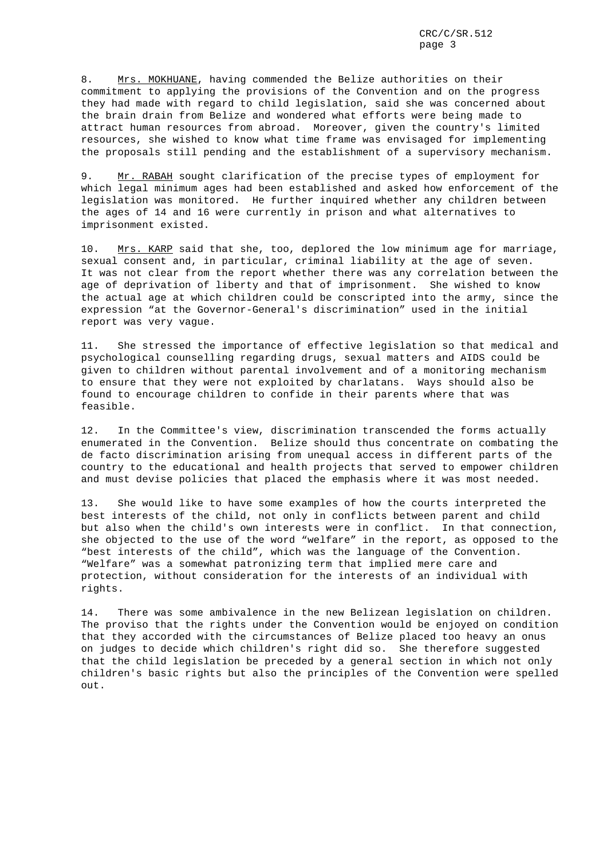8. Mrs. MOKHUANE, having commended the Belize authorities on their commitment to applying the provisions of the Convention and on the progress they had made with regard to child legislation, said she was concerned about the brain drain from Belize and wondered what efforts were being made to attract human resources from abroad. Moreover, given the country's limited resources, she wished to know what time frame was envisaged for implementing the proposals still pending and the establishment of a supervisory mechanism.

9. Mr. RABAH sought clarification of the precise types of employment for which legal minimum ages had been established and asked how enforcement of the legislation was monitored. He further inquired whether any children between the ages of 14 and 16 were currently in prison and what alternatives to imprisonment existed.

10. Mrs. KARP said that she, too, deplored the low minimum age for marriage, sexual consent and, in particular, criminal liability at the age of seven. It was not clear from the report whether there was any correlation between the age of deprivation of liberty and that of imprisonment. She wished to know the actual age at which children could be conscripted into the army, since the expression "at the Governor-General's discrimination" used in the initial report was very vague.

11. She stressed the importance of effective legislation so that medical and psychological counselling regarding drugs, sexual matters and AIDS could be given to children without parental involvement and of a monitoring mechanism to ensure that they were not exploited by charlatans. Ways should also be found to encourage children to confide in their parents where that was feasible.

12. In the Committee's view, discrimination transcended the forms actually enumerated in the Convention. Belize should thus concentrate on combating the de facto discrimination arising from unequal access in different parts of the country to the educational and health projects that served to empower children and must devise policies that placed the emphasis where it was most needed.

13. She would like to have some examples of how the courts interpreted the best interests of the child, not only in conflicts between parent and child but also when the child's own interests were in conflict. In that connection, she objected to the use of the word "welfare" in the report, as opposed to the "best interests of the child", which was the language of the Convention. "Welfare" was a somewhat patronizing term that implied mere care and protection, without consideration for the interests of an individual with rights.

14. There was some ambivalence in the new Belizean legislation on children. The proviso that the rights under the Convention would be enjoyed on condition that they accorded with the circumstances of Belize placed too heavy an onus on judges to decide which children's right did so. She therefore suggested that the child legislation be preceded by a general section in which not only children's basic rights but also the principles of the Convention were spelled out.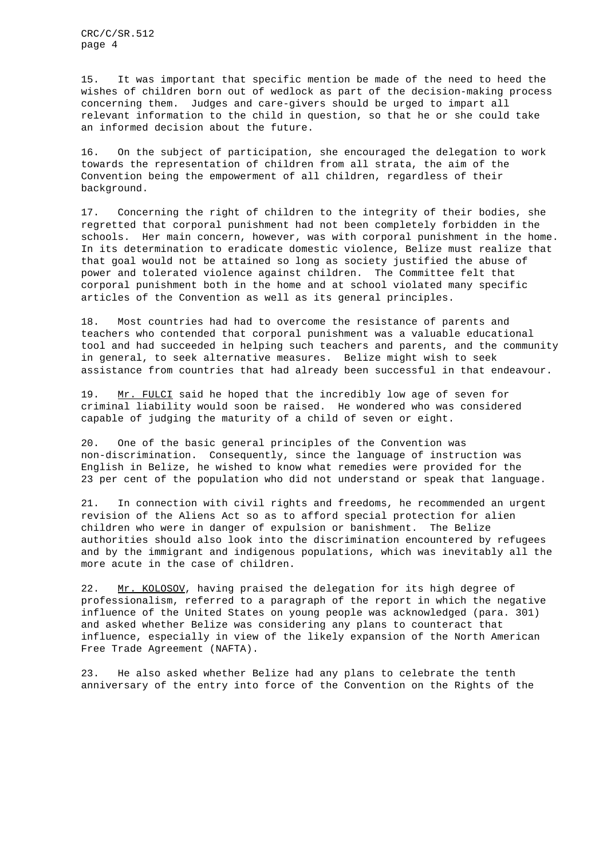CRC/C/SR.512 page 4

15. It was important that specific mention be made of the need to heed the wishes of children born out of wedlock as part of the decision-making process concerning them. Judges and care-givers should be urged to impart all relevant information to the child in question, so that he or she could take an informed decision about the future.

16. On the subject of participation, she encouraged the delegation to work towards the representation of children from all strata, the aim of the Convention being the empowerment of all children, regardless of their background.

17. Concerning the right of children to the integrity of their bodies, she regretted that corporal punishment had not been completely forbidden in the schools. Her main concern, however, was with corporal punishment in the home. In its determination to eradicate domestic violence, Belize must realize that that goal would not be attained so long as society justified the abuse of power and tolerated violence against children. The Committee felt that corporal punishment both in the home and at school violated many specific articles of the Convention as well as its general principles.

18. Most countries had had to overcome the resistance of parents and teachers who contended that corporal punishment was a valuable educational tool and had succeeded in helping such teachers and parents, and the community in general, to seek alternative measures. Belize might wish to seek assistance from countries that had already been successful in that endeavour.

19. Mr. FULCI said he hoped that the incredibly low age of seven for criminal liability would soon be raised. He wondered who was considered capable of judging the maturity of a child of seven or eight.

20. One of the basic general principles of the Convention was non-discrimination. Consequently, since the language of instruction was English in Belize, he wished to know what remedies were provided for the 23 per cent of the population who did not understand or speak that language.

21. In connection with civil rights and freedoms, he recommended an urgent revision of the Aliens Act so as to afford special protection for alien children who were in danger of expulsion or banishment. The Belize authorities should also look into the discrimination encountered by refugees and by the immigrant and indigenous populations, which was inevitably all the more acute in the case of children.

22. Mr. KOLOSOV, having praised the delegation for its high degree of professionalism, referred to a paragraph of the report in which the negative influence of the United States on young people was acknowledged (para. 301) and asked whether Belize was considering any plans to counteract that influence, especially in view of the likely expansion of the North American Free Trade Agreement (NAFTA).

23. He also asked whether Belize had any plans to celebrate the tenth anniversary of the entry into force of the Convention on the Rights of the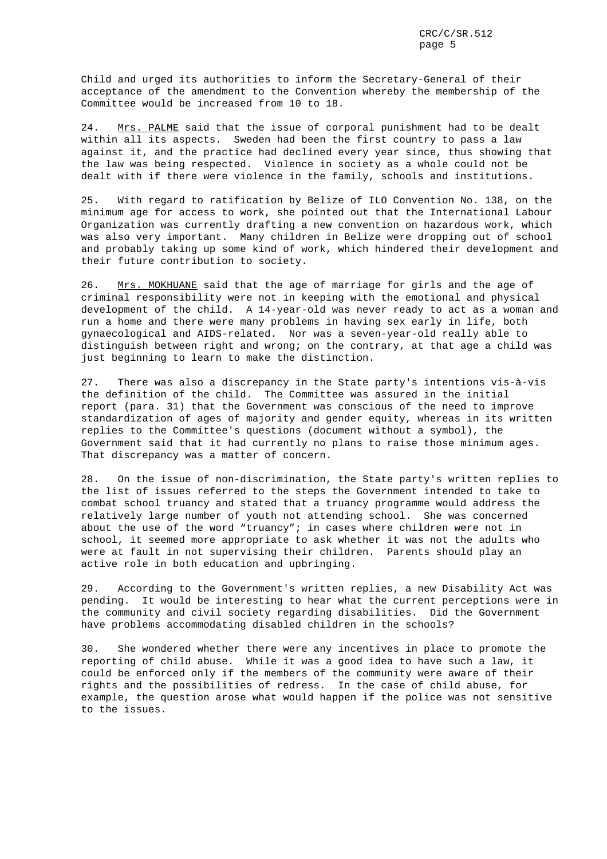Child and urged its authorities to inform the Secretary-General of their acceptance of the amendment to the Convention whereby the membership of the Committee would be increased from 10 to 18.

24. Mrs. PALME said that the issue of corporal punishment had to be dealt within all its aspects. Sweden had been the first country to pass a law against it, and the practice had declined every year since, thus showing that the law was being respected. Violence in society as a whole could not be dealt with if there were violence in the family, schools and institutions.

25. With regard to ratification by Belize of ILO Convention No. 138, on the minimum age for access to work, she pointed out that the International Labour Organization was currently drafting a new convention on hazardous work, which was also very important. Many children in Belize were dropping out of school and probably taking up some kind of work, which hindered their development and their future contribution to society.

26. Mrs. MOKHUANE said that the age of marriage for girls and the age of criminal responsibility were not in keeping with the emotional and physical development of the child. A 14-year-old was never ready to act as a woman and run a home and there were many problems in having sex early in life, both gynaecological and AIDS-related. Nor was a seven-year-old really able to distinguish between right and wrong; on the contrary, at that age a child was just beginning to learn to make the distinction.

27. There was also a discrepancy in the State party's intentions vis-à-vis the definition of the child. The Committee was assured in the initial report (para. 31) that the Government was conscious of the need to improve standardization of ages of majority and gender equity, whereas in its written replies to the Committee's questions (document without a symbol), the Government said that it had currently no plans to raise those minimum ages. That discrepancy was a matter of concern.

28. On the issue of non-discrimination, the State party's written replies to the list of issues referred to the steps the Government intended to take to combat school truancy and stated that a truancy programme would address the relatively large number of youth not attending school. She was concerned about the use of the word "truancy"; in cases where children were not in school, it seemed more appropriate to ask whether it was not the adults who were at fault in not supervising their children. Parents should play an active role in both education and upbringing.

29. According to the Government's written replies, a new Disability Act was pending. It would be interesting to hear what the current perceptions were in the community and civil society regarding disabilities. Did the Government have problems accommodating disabled children in the schools?

30. She wondered whether there were any incentives in place to promote the reporting of child abuse. While it was a good idea to have such a law, it could be enforced only if the members of the community were aware of their rights and the possibilities of redress. In the case of child abuse, for example, the question arose what would happen if the police was not sensitive to the issues.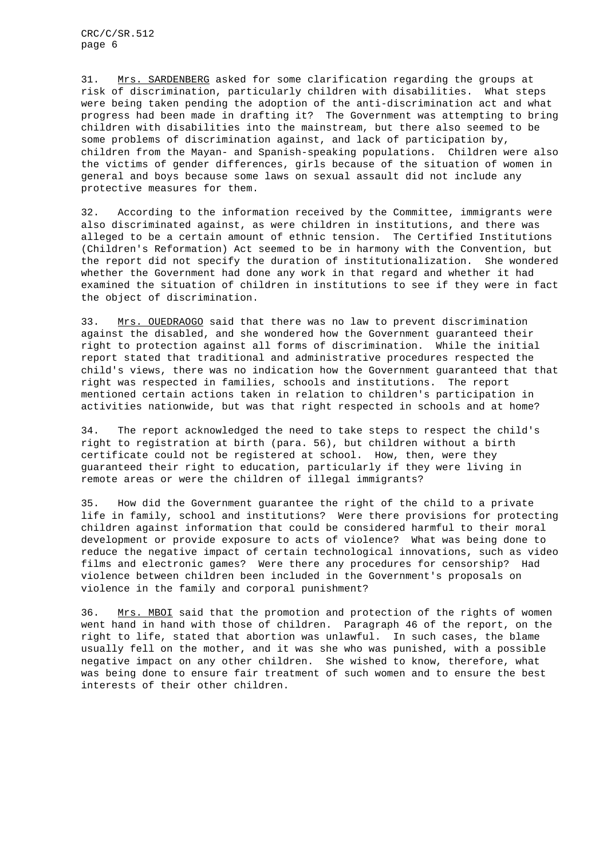31. Mrs. SARDENBERG asked for some clarification regarding the groups at risk of discrimination, particularly children with disabilities. What steps were being taken pending the adoption of the anti-discrimination act and what progress had been made in drafting it? The Government was attempting to bring children with disabilities into the mainstream, but there also seemed to be some problems of discrimination against, and lack of participation by, children from the Mayan- and Spanish-speaking populations. Children were also the victims of gender differences, girls because of the situation of women in general and boys because some laws on sexual assault did not include any protective measures for them.

32. According to the information received by the Committee, immigrants were also discriminated against, as were children in institutions, and there was alleged to be a certain amount of ethnic tension. The Certified Institutions (Children's Reformation) Act seemed to be in harmony with the Convention, but the report did not specify the duration of institutionalization. She wondered whether the Government had done any work in that regard and whether it had examined the situation of children in institutions to see if they were in fact the object of discrimination.

33. Mrs. OUEDRAOGO said that there was no law to prevent discrimination against the disabled, and she wondered how the Government guaranteed their right to protection against all forms of discrimination. While the initial report stated that traditional and administrative procedures respected the child's views, there was no indication how the Government guaranteed that that right was respected in families, schools and institutions. The report mentioned certain actions taken in relation to children's participation in activities nationwide, but was that right respected in schools and at home?

34. The report acknowledged the need to take steps to respect the child's right to registration at birth (para. 56), but children without a birth certificate could not be registered at school. How, then, were they guaranteed their right to education, particularly if they were living in remote areas or were the children of illegal immigrants?

35. How did the Government guarantee the right of the child to a private life in family, school and institutions? Were there provisions for protecting children against information that could be considered harmful to their moral development or provide exposure to acts of violence? What was being done to reduce the negative impact of certain technological innovations, such as video films and electronic games? Were there any procedures for censorship? Had violence between children been included in the Government's proposals on violence in the family and corporal punishment?

36. Mrs. MBOI said that the promotion and protection of the rights of women went hand in hand with those of children. Paragraph 46 of the report, on the right to life, stated that abortion was unlawful. In such cases, the blame usually fell on the mother, and it was she who was punished, with a possible negative impact on any other children. She wished to know, therefore, what was being done to ensure fair treatment of such women and to ensure the best interests of their other children.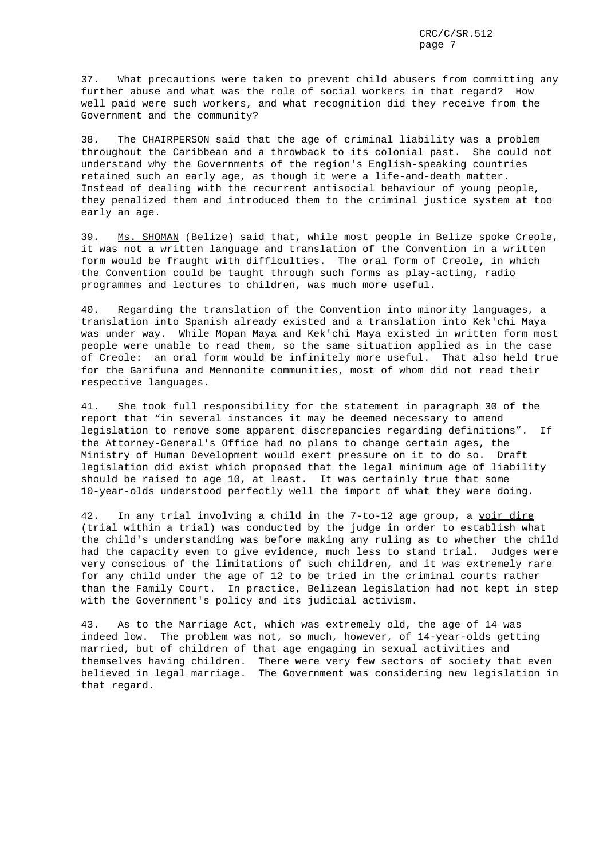37. What precautions were taken to prevent child abusers from committing any further abuse and what was the role of social workers in that regard? How well paid were such workers, and what recognition did they receive from the Government and the community?

38. The CHAIRPERSON said that the age of criminal liability was a problem throughout the Caribbean and a throwback to its colonial past. She could not understand why the Governments of the region's English-speaking countries retained such an early age, as though it were a life-and-death matter. Instead of dealing with the recurrent antisocial behaviour of young people, they penalized them and introduced them to the criminal justice system at too early an age.

39. Ms. SHOMAN (Belize) said that, while most people in Belize spoke Creole, it was not a written language and translation of the Convention in a written form would be fraught with difficulties. The oral form of Creole, in which the Convention could be taught through such forms as play-acting, radio programmes and lectures to children, was much more useful.

40. Regarding the translation of the Convention into minority languages, a translation into Spanish already existed and a translation into Kek'chi Maya was under way. While Mopan Maya and Kek'chi Maya existed in written form most people were unable to read them, so the same situation applied as in the case of Creole: an oral form would be infinitely more useful. That also held true for the Garifuna and Mennonite communities, most of whom did not read their respective languages.

41. She took full responsibility for the statement in paragraph 30 of the report that "in several instances it may be deemed necessary to amend legislation to remove some apparent discrepancies regarding definitions". If the Attorney-General's Office had no plans to change certain ages, the Ministry of Human Development would exert pressure on it to do so. Draft legislation did exist which proposed that the legal minimum age of liability should be raised to age 10, at least. It was certainly true that some 10-year-olds understood perfectly well the import of what they were doing.

42. In any trial involving a child in the 7-to-12 age group, a voir dire (trial within a trial) was conducted by the judge in order to establish what the child's understanding was before making any ruling as to whether the child had the capacity even to give evidence, much less to stand trial. Judges were very conscious of the limitations of such children, and it was extremely rare for any child under the age of 12 to be tried in the criminal courts rather than the Family Court. In practice, Belizean legislation had not kept in step with the Government's policy and its judicial activism.

43. As to the Marriage Act, which was extremely old, the age of 14 was indeed low. The problem was not, so much, however, of 14-year-olds getting married, but of children of that age engaging in sexual activities and themselves having children. There were very few sectors of society that even believed in legal marriage. The Government was considering new legislation in that regard.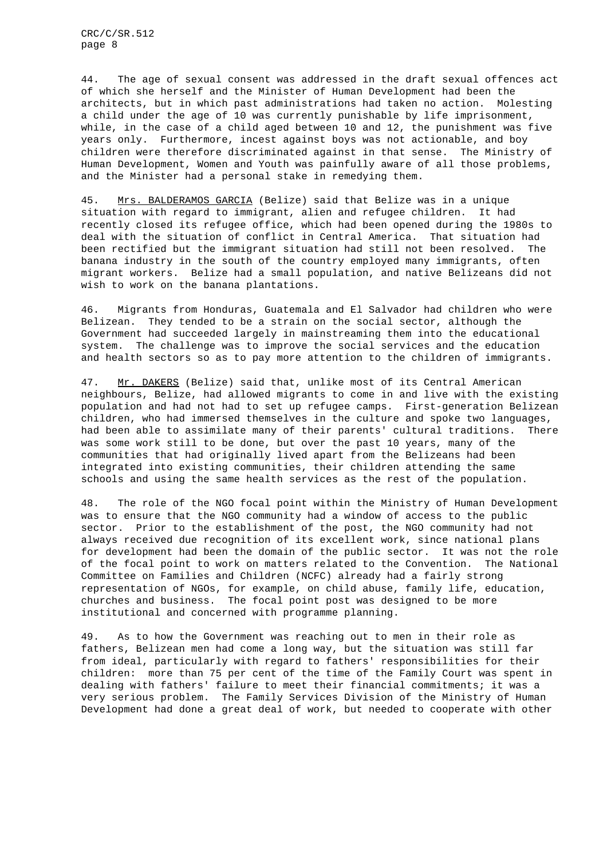CRC/C/SR.512 page 8

44. The age of sexual consent was addressed in the draft sexual offences act of which she herself and the Minister of Human Development had been the architects, but in which past administrations had taken no action. Molesting a child under the age of 10 was currently punishable by life imprisonment, while, in the case of a child aged between 10 and 12, the punishment was five years only. Furthermore, incest against boys was not actionable, and boy children were therefore discriminated against in that sense. The Ministry of Human Development, Women and Youth was painfully aware of all those problems, and the Minister had a personal stake in remedying them.

45. Mrs. BALDERAMOS GARCIA (Belize) said that Belize was in a unique situation with regard to immigrant, alien and refugee children. It had recently closed its refugee office, which had been opened during the 1980s to deal with the situation of conflict in Central America. That situation had been rectified but the immigrant situation had still not been resolved. The banana industry in the south of the country employed many immigrants, often migrant workers. Belize had a small population, and native Belizeans did not wish to work on the banana plantations.

46. Migrants from Honduras, Guatemala and El Salvador had children who were Belizean. They tended to be a strain on the social sector, although the Government had succeeded largely in mainstreaming them into the educational system. The challenge was to improve the social services and the education and health sectors so as to pay more attention to the children of immigrants.

47. Mr. DAKERS (Belize) said that, unlike most of its Central American neighbours, Belize, had allowed migrants to come in and live with the existing population and had not had to set up refugee camps. First-generation Belizean children, who had immersed themselves in the culture and spoke two languages, had been able to assimilate many of their parents' cultural traditions. There was some work still to be done, but over the past 10 years, many of the communities that had originally lived apart from the Belizeans had been integrated into existing communities, their children attending the same schools and using the same health services as the rest of the population.

48. The role of the NGO focal point within the Ministry of Human Development was to ensure that the NGO community had a window of access to the public sector. Prior to the establishment of the post, the NGO community had not always received due recognition of its excellent work, since national plans for development had been the domain of the public sector. It was not the role of the focal point to work on matters related to the Convention. The National Committee on Families and Children (NCFC) already had a fairly strong representation of NGOs, for example, on child abuse, family life, education, churches and business. The focal point post was designed to be more institutional and concerned with programme planning.

49. As to how the Government was reaching out to men in their role as fathers, Belizean men had come a long way, but the situation was still far from ideal, particularly with regard to fathers' responsibilities for their children: more than 75 per cent of the time of the Family Court was spent in dealing with fathers' failure to meet their financial commitments; it was a very serious problem. The Family Services Division of the Ministry of Human Development had done a great deal of work, but needed to cooperate with other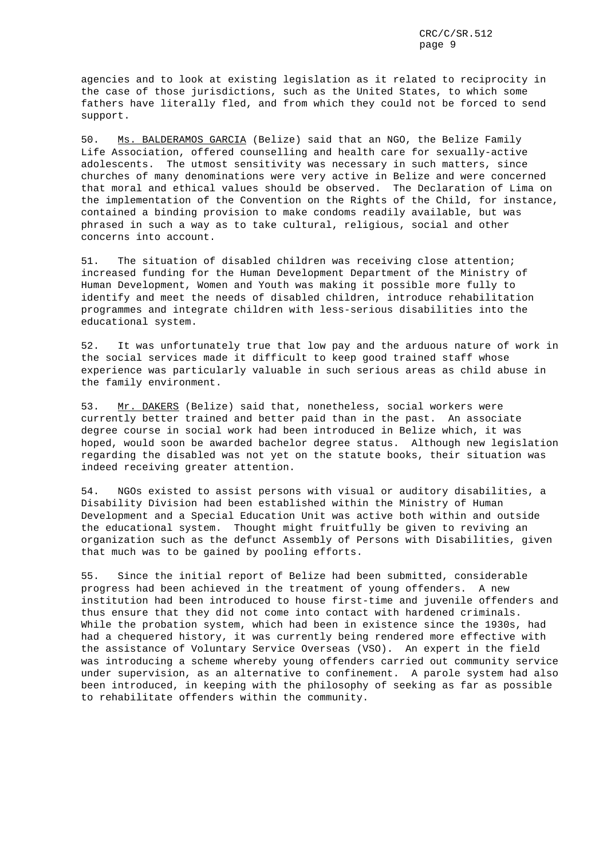agencies and to look at existing legislation as it related to reciprocity in the case of those jurisdictions, such as the United States, to which some fathers have literally fled, and from which they could not be forced to send support.

50. Ms. BALDERAMOS GARCIA (Belize) said that an NGO, the Belize Family Life Association, offered counselling and health care for sexually-active adolescents. The utmost sensitivity was necessary in such matters, since churches of many denominations were very active in Belize and were concerned that moral and ethical values should be observed. The Declaration of Lima on the implementation of the Convention on the Rights of the Child, for instance, contained a binding provision to make condoms readily available, but was phrased in such a way as to take cultural, religious, social and other concerns into account.

51. The situation of disabled children was receiving close attention; increased funding for the Human Development Department of the Ministry of Human Development, Women and Youth was making it possible more fully to identify and meet the needs of disabled children, introduce rehabilitation programmes and integrate children with less-serious disabilities into the educational system.

52. It was unfortunately true that low pay and the arduous nature of work in the social services made it difficult to keep good trained staff whose experience was particularly valuable in such serious areas as child abuse in the family environment.

53. Mr. DAKERS (Belize) said that, nonetheless, social workers were currently better trained and better paid than in the past. An associate degree course in social work had been introduced in Belize which, it was hoped, would soon be awarded bachelor degree status. Although new legislation regarding the disabled was not yet on the statute books, their situation was indeed receiving greater attention.

54. NGOs existed to assist persons with visual or auditory disabilities, a Disability Division had been established within the Ministry of Human Development and a Special Education Unit was active both within and outside the educational system. Thought might fruitfully be given to reviving an organization such as the defunct Assembly of Persons with Disabilities, given that much was to be gained by pooling efforts.

55. Since the initial report of Belize had been submitted, considerable progress had been achieved in the treatment of young offenders. A new institution had been introduced to house first-time and juvenile offenders and thus ensure that they did not come into contact with hardened criminals. While the probation system, which had been in existence since the 1930s, had had a chequered history, it was currently being rendered more effective with the assistance of Voluntary Service Overseas (VSO). An expert in the field was introducing a scheme whereby young offenders carried out community service under supervision, as an alternative to confinement. A parole system had also been introduced, in keeping with the philosophy of seeking as far as possible to rehabilitate offenders within the community.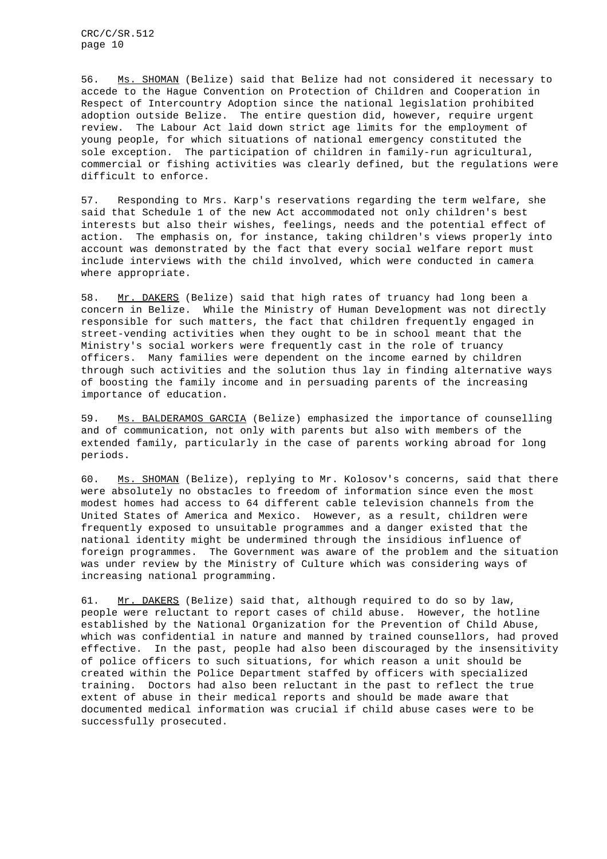56. Ms. SHOMAN (Belize) said that Belize had not considered it necessary to accede to the Hague Convention on Protection of Children and Cooperation in Respect of Intercountry Adoption since the national legislation prohibited adoption outside Belize. The entire question did, however, require urgent review. The Labour Act laid down strict age limits for the employment of young people, for which situations of national emergency constituted the sole exception. The participation of children in family-run agricultural, commercial or fishing activities was clearly defined, but the regulations were difficult to enforce.

57. Responding to Mrs. Karp's reservations regarding the term welfare, she said that Schedule 1 of the new Act accommodated not only children's best interests but also their wishes, feelings, needs and the potential effect of action. The emphasis on, for instance, taking children's views properly into account was demonstrated by the fact that every social welfare report must include interviews with the child involved, which were conducted in camera where appropriate.

58. Mr. DAKERS (Belize) said that high rates of truancy had long been a concern in Belize. While the Ministry of Human Development was not directly responsible for such matters, the fact that children frequently engaged in street-vending activities when they ought to be in school meant that the Ministry's social workers were frequently cast in the role of truancy officers. Many families were dependent on the income earned by children through such activities and the solution thus lay in finding alternative ways of boosting the family income and in persuading parents of the increasing importance of education.

59. Ms. BALDERAMOS GARCIA (Belize) emphasized the importance of counselling and of communication, not only with parents but also with members of the extended family, particularly in the case of parents working abroad for long periods.

60. Ms. SHOMAN (Belize), replying to Mr. Kolosov's concerns, said that there were absolutely no obstacles to freedom of information since even the most modest homes had access to 64 different cable television channels from the United States of America and Mexico. However, as a result, children were frequently exposed to unsuitable programmes and a danger existed that the national identity might be undermined through the insidious influence of foreign programmes. The Government was aware of the problem and the situation was under review by the Ministry of Culture which was considering ways of increasing national programming.

61. Mr. DAKERS (Belize) said that, although required to do so by law, people were reluctant to report cases of child abuse. However, the hotline established by the National Organization for the Prevention of Child Abuse, which was confidential in nature and manned by trained counsellors, had proved effective. In the past, people had also been discouraged by the insensitivity of police officers to such situations, for which reason a unit should be created within the Police Department staffed by officers with specialized training. Doctors had also been reluctant in the past to reflect the true extent of abuse in their medical reports and should be made aware that documented medical information was crucial if child abuse cases were to be successfully prosecuted.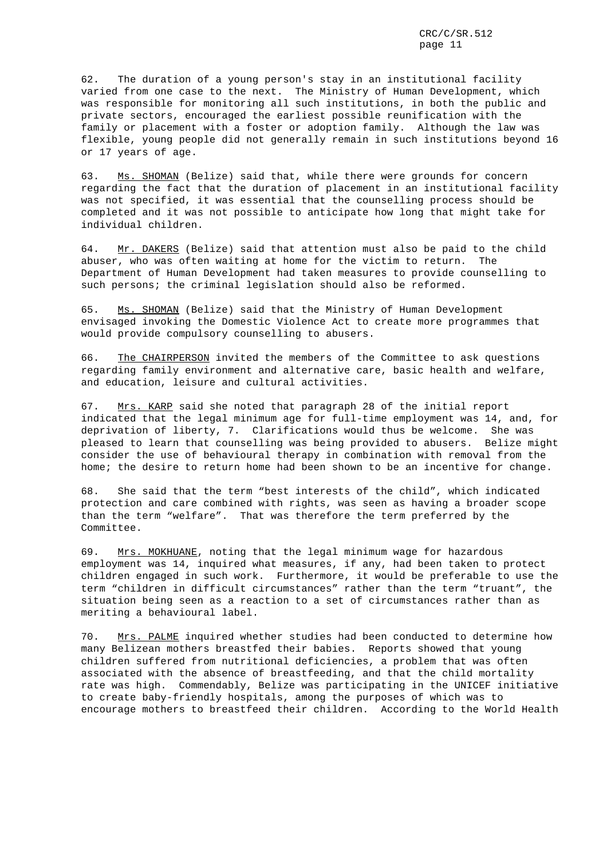62. The duration of a young person's stay in an institutional facility varied from one case to the next. The Ministry of Human Development, which was responsible for monitoring all such institutions, in both the public and private sectors, encouraged the earliest possible reunification with the family or placement with a foster or adoption family. Although the law was flexible, young people did not generally remain in such institutions beyond 16 or 17 years of age.

63. Ms. SHOMAN (Belize) said that, while there were grounds for concern regarding the fact that the duration of placement in an institutional facility was not specified, it was essential that the counselling process should be completed and it was not possible to anticipate how long that might take for individual children.

64. Mr. DAKERS (Belize) said that attention must also be paid to the child abuser, who was often waiting at home for the victim to return. The Department of Human Development had taken measures to provide counselling to such persons; the criminal legislation should also be reformed.

65. Ms. SHOMAN (Belize) said that the Ministry of Human Development envisaged invoking the Domestic Violence Act to create more programmes that would provide compulsory counselling to abusers.

66. The CHAIRPERSON invited the members of the Committee to ask questions regarding family environment and alternative care, basic health and welfare, and education, leisure and cultural activities.

67. Mrs. KARP said she noted that paragraph 28 of the initial report indicated that the legal minimum age for full-time employment was 14, and, for deprivation of liberty, 7. Clarifications would thus be welcome. She was pleased to learn that counselling was being provided to abusers. Belize might consider the use of behavioural therapy in combination with removal from the home; the desire to return home had been shown to be an incentive for change.

68. She said that the term "best interests of the child", which indicated protection and care combined with rights, was seen as having a broader scope than the term "welfare". That was therefore the term preferred by the Committee.

69. Mrs. MOKHUANE, noting that the legal minimum wage for hazardous employment was 14, inquired what measures, if any, had been taken to protect children engaged in such work. Furthermore, it would be preferable to use the term "children in difficult circumstances" rather than the term "truant", the situation being seen as a reaction to a set of circumstances rather than as meriting a behavioural label.

70. Mrs. PALME inquired whether studies had been conducted to determine how many Belizean mothers breastfed their babies. Reports showed that young children suffered from nutritional deficiencies, a problem that was often associated with the absence of breastfeeding, and that the child mortality rate was high. Commendably, Belize was participating in the UNICEF initiative to create baby-friendly hospitals, among the purposes of which was to encourage mothers to breastfeed their children. According to the World Health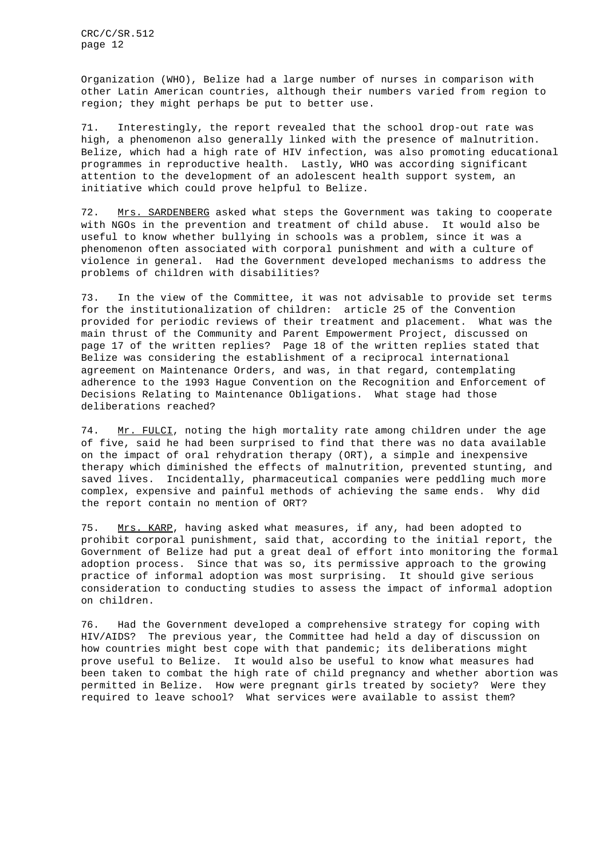Organization (WHO), Belize had a large number of nurses in comparison with other Latin American countries, although their numbers varied from region to region; they might perhaps be put to better use.

71. Interestingly, the report revealed that the school drop-out rate was high, a phenomenon also generally linked with the presence of malnutrition. Belize, which had a high rate of HIV infection, was also promoting educational programmes in reproductive health. Lastly, WHO was according significant attention to the development of an adolescent health support system, an initiative which could prove helpful to Belize.

72. Mrs. SARDENBERG asked what steps the Government was taking to cooperate with NGOs in the prevention and treatment of child abuse. It would also be useful to know whether bullying in schools was a problem, since it was a phenomenon often associated with corporal punishment and with a culture of violence in general. Had the Government developed mechanisms to address the problems of children with disabilities?

73. In the view of the Committee, it was not advisable to provide set terms for the institutionalization of children: article 25 of the Convention provided for periodic reviews of their treatment and placement. What was the main thrust of the Community and Parent Empowerment Project, discussed on page 17 of the written replies? Page 18 of the written replies stated that Belize was considering the establishment of a reciprocal international agreement on Maintenance Orders, and was, in that regard, contemplating adherence to the 1993 Hague Convention on the Recognition and Enforcement of Decisions Relating to Maintenance Obligations. What stage had those deliberations reached?

74. Mr. FULCI, noting the high mortality rate among children under the age of five, said he had been surprised to find that there was no data available on the impact of oral rehydration therapy (ORT), a simple and inexpensive therapy which diminished the effects of malnutrition, prevented stunting, and saved lives. Incidentally, pharmaceutical companies were peddling much more complex, expensive and painful methods of achieving the same ends. Why did the report contain no mention of ORT?

75. Mrs. KARP, having asked what measures, if any, had been adopted to prohibit corporal punishment, said that, according to the initial report, the Government of Belize had put a great deal of effort into monitoring the formal adoption process. Since that was so, its permissive approach to the growing practice of informal adoption was most surprising. It should give serious consideration to conducting studies to assess the impact of informal adoption on children.

76. Had the Government developed a comprehensive strategy for coping with HIV/AIDS? The previous year, the Committee had held a day of discussion on how countries might best cope with that pandemic; its deliberations might prove useful to Belize. It would also be useful to know what measures had been taken to combat the high rate of child pregnancy and whether abortion was permitted in Belize. How were pregnant girls treated by society? Were they required to leave school? What services were available to assist them?